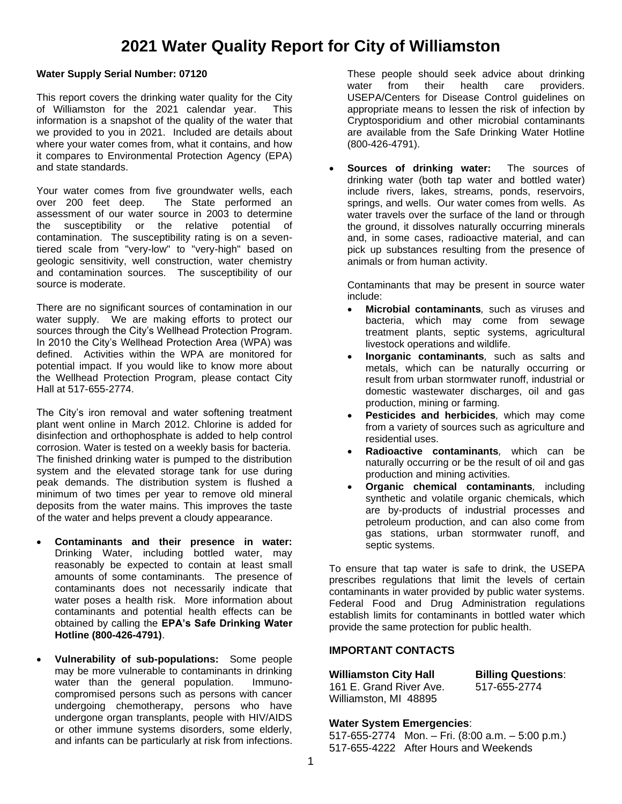# **2021 Water Quality Report for City of Williamston**

#### **Water Supply Serial Number: 07120**

This report covers the drinking water quality for the City of Williamston for the 2021 calendar year. This information is a snapshot of the quality of the water that we provided to you in 2021. Included are details about where your water comes from, what it contains, and how it compares to Environmental Protection Agency (EPA) and state standards.

Your water comes from five groundwater wells, each over 200 feet deep. The State performed an assessment of our water source in 2003 to determine the susceptibility or the relative potential of contamination. The susceptibility rating is on a seventiered scale from "very-low" to "very-high" based on geologic sensitivity, well construction, water chemistry and contamination sources. The susceptibility of our source is moderate.

There are no significant sources of contamination in our water supply. We are making efforts to protect our sources through the City's Wellhead Protection Program. In 2010 the City's Wellhead Protection Area (WPA) was defined. Activities within the WPA are monitored for potential impact. If you would like to know more about the Wellhead Protection Program, please contact City Hall at 517-655-2774.

The City's iron removal and water softening treatment plant went online in March 2012. Chlorine is added for disinfection and orthophosphate is added to help control corrosion. Water is tested on a weekly basis for bacteria. The finished drinking water is pumped to the distribution system and the elevated storage tank for use during peak demands. The distribution system is flushed a minimum of two times per year to remove old mineral deposits from the water mains. This improves the taste of the water and helps prevent a cloudy appearance.

- **Contaminants and their presence in water:**  Drinking Water, including bottled water, may reasonably be expected to contain at least small amounts of some contaminants. The presence of contaminants does not necessarily indicate that water poses a health risk. More information about contaminants and potential health effects can be obtained by calling the **EPA's Safe Drinking Water Hotline (800-426-4791)**.
- **Vulnerability of sub-populations:** Some people may be more vulnerable to contaminants in drinking water than the general population. Immunocompromised persons such as persons with cancer undergoing chemotherapy, persons who have undergone organ transplants, people with HIV/AIDS or other immune systems disorders, some elderly, and infants can be particularly at risk from infections.

These people should seek advice about drinking water from their health care providers. USEPA/Centers for Disease Control guidelines on appropriate means to lessen the risk of infection by Cryptosporidium and other microbial contaminants are available from the Safe Drinking Water Hotline (800-426-4791).

• **Sources of drinking water:** The sources of drinking water (both tap water and bottled water) include rivers, lakes, streams, ponds, reservoirs, springs, and wells. Our water comes from wells. As water travels over the surface of the land or through the ground, it dissolves naturally occurring minerals and, in some cases, radioactive material, and can pick up substances resulting from the presence of animals or from human activity.

Contaminants that may be present in source water include:

- **Microbial contaminants***,* such as viruses and bacteria, which may come from sewage treatment plants, septic systems, agricultural livestock operations and wildlife.
- **Inorganic contaminants***,* such as salts and metals, which can be naturally occurring or result from urban stormwater runoff, industrial or domestic wastewater discharges, oil and gas production, mining or farming.
- **Pesticides and herbicides***,* which may come from a variety of sources such as agriculture and residential uses.
- **Radioactive contaminants***,* which can be naturally occurring or be the result of oil and gas production and mining activities.
- **Organic chemical contaminants***,* including synthetic and volatile organic chemicals, which are by-products of industrial processes and petroleum production, and can also come from gas stations, urban stormwater runoff, and septic systems.

To ensure that tap water is safe to drink, the USEPA prescribes regulations that limit the levels of certain contaminants in water provided by public water systems. Federal Food and Drug Administration regulations establish limits for contaminants in bottled water which provide the same protection for public health.

### **IMPORTANT CONTACTS**

| <b>Williamston City Hall</b> | <b>Billing Questions:</b> |  |  |  |
|------------------------------|---------------------------|--|--|--|
| 161 E. Grand River Ave.      | 517-655-2774              |  |  |  |
| Williamston, MI 48895        |                           |  |  |  |

#### **Water System Emergencies**:

517-655-2774 Mon. – Fri. (8:00 a.m. – 5:00 p.m.) 517-655-4222 After Hours and Weekends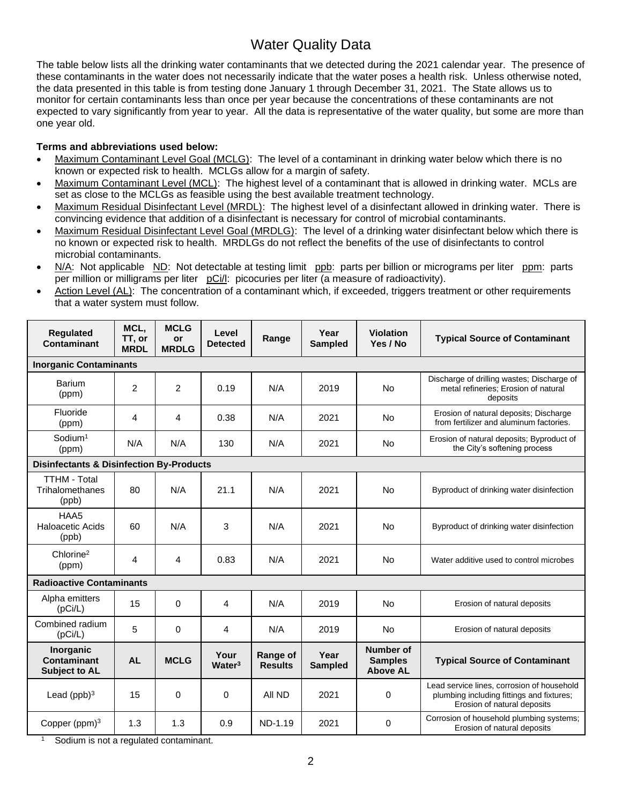## Water Quality Data

The table below lists all the drinking water contaminants that we detected during the 2021 calendar year. The presence of these contaminants in the water does not necessarily indicate that the water poses a health risk. Unless otherwise noted, the data presented in this table is from testing done January 1 through December 31, 2021. The State allows us to monitor for certain contaminants less than once per year because the concentrations of these contaminants are not expected to vary significantly from year to year. All the data is representative of the water quality, but some are more than one year old.

## **Terms and abbreviations used below:**

- Maximum Contaminant Level Goal (MCLG): The level of a contaminant in drinking water below which there is no known or expected risk to health. MCLGs allow for a margin of safety.
- Maximum Contaminant Level (MCL): The highest level of a contaminant that is allowed in drinking water. MCLs are set as close to the MCLGs as feasible using the best available treatment technology.
- Maximum Residual Disinfectant Level (MRDL): The highest level of a disinfectant allowed in drinking water. There is convincing evidence that addition of a disinfectant is necessary for control of microbial contaminants.
- Maximum Residual Disinfectant Level Goal (MRDLG): The level of a drinking water disinfectant below which there is no known or expected risk to health. MRDLGs do not reflect the benefits of the use of disinfectants to control microbial contaminants.
- N/A: Not applicable ND: Not detectable at testing limit ppb: parts per billion or micrograms per liter ppm: parts per million or milligrams per liter pCi/l: picocuries per liter (a measure of radioactivity).
- Action Level (AL): The concentration of a contaminant which, if exceeded, triggers treatment or other requirements that a water system must follow.

| <b>Requlated</b><br>Contaminant                     | MCL,<br>TT, or<br><b>MRDL</b> | <b>MCLG</b><br>or<br><b>MRDLG</b> | Level<br><b>Detected</b>   | Range                      | Year<br><b>Sampled</b> | <b>Violation</b><br>Yes / No                   | <b>Typical Source of Contaminant</b>                                                                                   |  |
|-----------------------------------------------------|-------------------------------|-----------------------------------|----------------------------|----------------------------|------------------------|------------------------------------------------|------------------------------------------------------------------------------------------------------------------------|--|
| <b>Inorganic Contaminants</b>                       |                               |                                   |                            |                            |                        |                                                |                                                                                                                        |  |
| <b>Barium</b><br>(ppm)                              | $\overline{2}$                | $\overline{2}$                    | 0.19                       | N/A                        | 2019                   | <b>No</b>                                      | Discharge of drilling wastes; Discharge of<br>metal refineries; Erosion of natural<br>deposits                         |  |
| Fluoride<br>(ppm)                                   | 4                             | 4                                 | 0.38                       | N/A                        | 2021                   | No                                             | Erosion of natural deposits; Discharge<br>from fertilizer and aluminum factories.                                      |  |
| Sodium <sup>1</sup><br>(ppm)                        | N/A                           | N/A                               | 130                        | N/A                        | 2021                   | <b>No</b>                                      | Erosion of natural deposits; Byproduct of<br>the City's softening process                                              |  |
| <b>Disinfectants &amp; Disinfection By-Products</b> |                               |                                   |                            |                            |                        |                                                |                                                                                                                        |  |
| <b>TTHM - Total</b><br>Trihalomethanes<br>(ppb)     | 80                            | N/A                               | 21.1                       | N/A                        | 2021                   | No                                             | Byproduct of drinking water disinfection                                                                               |  |
| HAA5<br>Haloacetic Acids<br>(ppb)                   | 60                            | N/A                               | 3                          | N/A                        | 2021                   | <b>No</b>                                      | Byproduct of drinking water disinfection                                                                               |  |
| Chlorine <sup>2</sup><br>(ppm)                      | 4                             | 4                                 | 0.83                       | N/A                        | 2021                   | <b>No</b>                                      | Water additive used to control microbes                                                                                |  |
| <b>Radioactive Contaminants</b>                     |                               |                                   |                            |                            |                        |                                                |                                                                                                                        |  |
| Alpha emitters<br>(pCi/L)                           | 15                            | 0                                 | 4                          | N/A                        | 2019                   | No                                             | Erosion of natural deposits                                                                                            |  |
| Combined radium<br>(pCi/L)                          | 5                             | 0                                 | 4                          | N/A                        | 2019                   | <b>No</b>                                      | Erosion of natural deposits                                                                                            |  |
| Inorganic<br>Contaminant<br><b>Subject to AL</b>    | <b>AL</b>                     | <b>MCLG</b>                       | Your<br>Water <sup>3</sup> | Range of<br><b>Results</b> | Year<br><b>Sampled</b> | Number of<br><b>Samples</b><br><b>Above AL</b> | <b>Typical Source of Contaminant</b>                                                                                   |  |
| Lead $(ppb)^3$                                      | 15                            | 0                                 | 0                          | All ND                     | 2021                   | 0                                              | Lead service lines, corrosion of household<br>plumbing including fittings and fixtures;<br>Erosion of natural deposits |  |
| Copper ( $ppm$ ) <sup>3</sup>                       | 1.3                           | 1.3                               | 0.9                        | ND-1.19                    | 2021                   | 0                                              | Corrosion of household plumbing systems;<br>Erosion of natural deposits                                                |  |

Sodium is not a regulated contaminant.